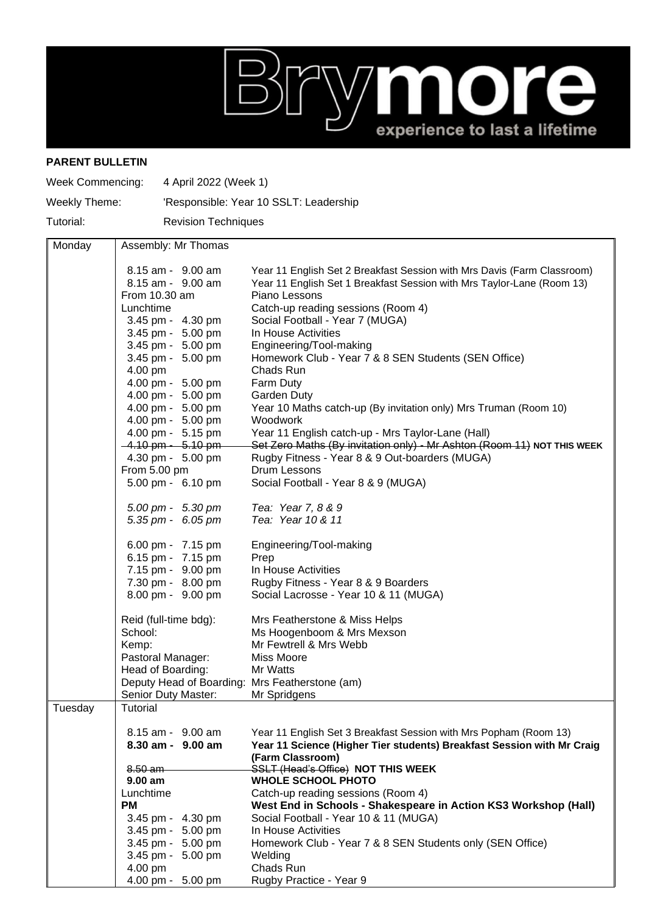

## **PARENT BULLETIN**

| <b>Week Commencing:</b> | 4 April 2022 (Week 1)                          |                                                                                                                           |  |  |
|-------------------------|------------------------------------------------|---------------------------------------------------------------------------------------------------------------------------|--|--|
| Weekly Theme:           |                                                | 'Responsible: Year 10 SSLT: Leadership                                                                                    |  |  |
| Tutorial:               |                                                | <b>Revision Techniques</b>                                                                                                |  |  |
| Monday                  | Assembly: Mr Thomas                            |                                                                                                                           |  |  |
|                         | 8.15 am - 9.00 am                              | Year 11 English Set 2 Breakfast Session with Mrs Davis (Farm Classroom)                                                   |  |  |
|                         | 8.15 am - 9.00 am                              | Year 11 English Set 1 Breakfast Session with Mrs Taylor-Lane (Room 13)                                                    |  |  |
|                         | From 10.30 am                                  | Piano Lessons                                                                                                             |  |  |
|                         | Lunchtime                                      | Catch-up reading sessions (Room 4)                                                                                        |  |  |
|                         | 3.45 pm - 4.30 pm                              | Social Football - Year 7 (MUGA)                                                                                           |  |  |
|                         | 3.45 pm - 5.00 pm                              | In House Activities                                                                                                       |  |  |
|                         | 3.45 pm - 5.00 pm<br>3.45 pm - 5.00 pm         | Engineering/Tool-making<br>Homework Club - Year 7 & 8 SEN Students (SEN Office)                                           |  |  |
|                         | 4.00 pm                                        | Chads Run                                                                                                                 |  |  |
|                         | 4.00 pm - 5.00 pm                              | Farm Duty                                                                                                                 |  |  |
|                         | 4.00 pm - 5.00 pm                              | <b>Garden Duty</b>                                                                                                        |  |  |
|                         | 4.00 pm - 5.00 pm                              | Year 10 Maths catch-up (By invitation only) Mrs Truman (Room 10)                                                          |  |  |
|                         | 4.00 pm - 5.00 pm                              | Woodwork                                                                                                                  |  |  |
|                         | 4.00 pm - 5.15 pm                              | Year 11 English catch-up - Mrs Taylor-Lane (Hall)                                                                         |  |  |
|                         | $-4.10$ pm $-5.10$ pm<br>4.30 pm - 5.00 pm     | Set Zero Maths (By invitation only) - Mr Ashton (Room 11) NOT THIS WEEK<br>Rugby Fitness - Year 8 & 9 Out-boarders (MUGA) |  |  |
|                         | From 5.00 pm                                   | Drum Lessons                                                                                                              |  |  |
|                         | 5.00 pm - 6.10 pm                              | Social Football - Year 8 & 9 (MUGA)                                                                                       |  |  |
|                         | $5.00 \text{ pm} - 5.30 \text{ pm}$            | Tea: Year 7, 8 & 9                                                                                                        |  |  |
|                         | 5.35 pm - 6.05 pm                              | Tea: Year 10 & 11                                                                                                         |  |  |
|                         | 6.00 pm - 7.15 pm                              | Engineering/Tool-making                                                                                                   |  |  |
|                         | 6.15 pm - 7.15 pm                              | Prep                                                                                                                      |  |  |
|                         | 7.15 pm - 9.00 pm                              | In House Activities                                                                                                       |  |  |
|                         | 7.30 pm - 8.00 pm<br>8.00 pm - 9.00 pm         | Rugby Fitness - Year 8 & 9 Boarders<br>Social Lacrosse - Year 10 & 11 (MUGA)                                              |  |  |
|                         |                                                |                                                                                                                           |  |  |
|                         | Reid (full-time bdg):                          | Mrs Featherstone & Miss Helps                                                                                             |  |  |
|                         | School:                                        | Ms Hoogenboom & Mrs Mexson                                                                                                |  |  |
|                         | Kemp:<br>Pastoral Manager:                     | Mr Fewtrell & Mrs Webb<br>Miss Moore                                                                                      |  |  |
|                         | Head of Boarding:                              | Mr Watts                                                                                                                  |  |  |
|                         | Deputy Head of Boarding: Mrs Featherstone (am) |                                                                                                                           |  |  |
|                         | Senior Duty Master:                            | Mr Spridgens                                                                                                              |  |  |
| Tuesday                 | <b>Tutorial</b>                                |                                                                                                                           |  |  |
|                         | 8.15 am - 9.00 am                              | Year 11 English Set 3 Breakfast Session with Mrs Popham (Room 13)                                                         |  |  |
|                         | 8.30 am - 9.00 am                              | Year 11 Science (Higher Tier students) Breakfast Session with Mr Craig                                                    |  |  |
|                         |                                                | (Farm Classroom)                                                                                                          |  |  |
|                         | $8.50$ am                                      | SSLT (Head's Office) NOT THIS WEEK                                                                                        |  |  |
|                         | $9.00$ am                                      | <b>WHOLE SCHOOL PHOTO</b>                                                                                                 |  |  |
|                         | Lunchtime<br>PМ                                | Catch-up reading sessions (Room 4)                                                                                        |  |  |
|                         | 3.45 pm - 4.30 pm                              | West End in Schools - Shakespeare in Action KS3 Workshop (Hall)<br>Social Football - Year 10 & 11 (MUGA)                  |  |  |
|                         | 3.45 pm - 5.00 pm                              | In House Activities                                                                                                       |  |  |
|                         | 3.45 pm - 5.00 pm                              | Homework Club - Year 7 & 8 SEN Students only (SEN Office)                                                                 |  |  |
|                         | 3.45 pm - 5.00 pm                              | Welding                                                                                                                   |  |  |
|                         | 4.00 pm                                        | Chads Run                                                                                                                 |  |  |

4.00 pm - 5.00 pm Rugby Practice - Year 9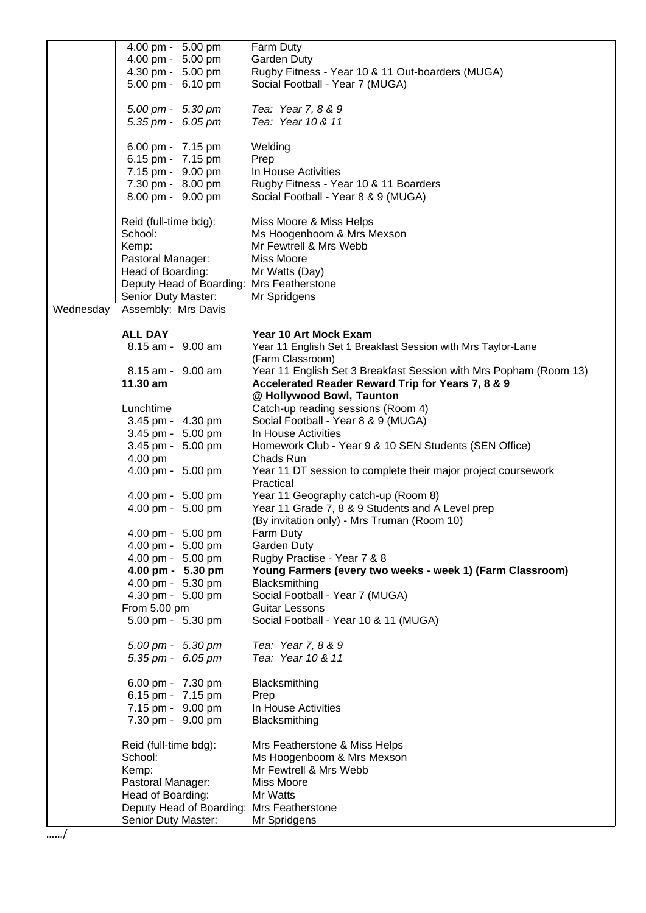|           | 4.00 pm - 5.00 pm                         | Farm Duty                                                                             |
|-----------|-------------------------------------------|---------------------------------------------------------------------------------------|
|           | 4.00 pm - 5.00 pm                         | <b>Garden Duty</b>                                                                    |
|           | 4.30 pm - 5.00 pm                         | Rugby Fitness - Year 10 & 11 Out-boarders (MUGA)                                      |
|           | 5.00 pm - 6.10 pm                         | Social Football - Year 7 (MUGA)                                                       |
|           |                                           |                                                                                       |
|           | 5.00 pm - 5.30 pm                         | Tea: Year 7, 8 & 9                                                                    |
|           | 5.35 pm - 6.05 pm                         | Tea: Year 10 & 11                                                                     |
|           |                                           |                                                                                       |
|           | 6.00 pm - 7.15 pm                         | Welding                                                                               |
|           | 6.15 pm - 7.15 pm                         | Prep                                                                                  |
|           | 7.15 pm - 9.00 pm                         | In House Activities                                                                   |
|           | 7.30 pm - 8.00 pm                         | Rugby Fitness - Year 10 & 11 Boarders                                                 |
|           | 8.00 pm - 9.00 pm                         | Social Football - Year 8 & 9 (MUGA)                                                   |
|           |                                           |                                                                                       |
|           | Reid (full-time bdg):                     | Miss Moore & Miss Helps                                                               |
|           | School:                                   | Ms Hoogenboom & Mrs Mexson                                                            |
|           | Kemp:                                     | Mr Fewtrell & Mrs Webb                                                                |
|           | Pastoral Manager:                         | Miss Moore                                                                            |
|           | Head of Boarding:                         | Mr Watts (Day)                                                                        |
|           | Deputy Head of Boarding: Mrs Featherstone |                                                                                       |
|           | Senior Duty Master:                       | Mr Spridgens                                                                          |
| Wednesday | Assembly: Mrs Davis                       |                                                                                       |
|           |                                           |                                                                                       |
|           | <b>ALL DAY</b>                            | <b>Year 10 Art Mock Exam</b>                                                          |
|           | 8.15 am - 9.00 am                         | Year 11 English Set 1 Breakfast Session with Mrs Taylor-Lane                          |
|           | 8.15 am - 9.00 am                         | (Farm Classroom)<br>Year 11 English Set 3 Breakfast Session with Mrs Popham (Room 13) |
|           | 11.30 am                                  | Accelerated Reader Reward Trip for Years 7, 8 & 9                                     |
|           |                                           | @ Hollywood Bowl, Taunton                                                             |
|           | Lunchtime                                 | Catch-up reading sessions (Room 4)                                                    |
|           | 3.45 pm - 4.30 pm                         | Social Football - Year 8 & 9 (MUGA)                                                   |
|           | 3.45 pm - 5.00 pm                         | In House Activities                                                                   |
|           | 3.45 pm - 5.00 pm                         | Homework Club - Year 9 & 10 SEN Students (SEN Office)                                 |
|           | 4.00 pm                                   | Chads Run                                                                             |
|           | 4.00 pm - 5.00 pm                         | Year 11 DT session to complete their major project coursework                         |
|           |                                           | Practical                                                                             |
|           | 4.00 pm - 5.00 pm                         | Year 11 Geography catch-up (Room 8)                                                   |
|           | 4.00 pm - 5.00 pm                         | Year 11 Grade 7, 8 & 9 Students and A Level prep                                      |
|           |                                           | (By invitation only) - Mrs Truman (Room 10)                                           |
|           | 4.00 pm - 5.00 pm                         | Farm Duty                                                                             |
|           | 4.00 pm - 5.00 pm                         | Garden Duty                                                                           |
|           | 4.00 pm - 5.00 pm                         | Rugby Practise - Year 7 & 8                                                           |
|           | 4.00 pm - 5.30 pm                         | Young Farmers (every two weeks - week 1) (Farm Classroom)                             |
|           | 4.00 pm - 5.30 pm                         | Blacksmithing                                                                         |
|           | 4.30 pm - 5.00 pm                         | Social Football - Year 7 (MUGA)                                                       |
|           | From 5.00 pm                              | Guitar Lessons                                                                        |
|           | 5.00 pm - 5.30 pm                         | Social Football - Year 10 & 11 (MUGA)                                                 |
|           |                                           |                                                                                       |
|           | 5.00 pm - 5.30 pm                         | Tea: Year 7, 8 & 9                                                                    |
|           | 5.35 pm - 6.05 pm                         | Tea: Year 10 & 11                                                                     |
|           |                                           |                                                                                       |
|           | 6.00 pm - 7.30 pm                         | Blacksmithing                                                                         |
|           | 6.15 pm - 7.15 pm<br>7.15 pm - 9.00 pm    | Prep<br>In House Activities                                                           |
|           | 7.30 pm - 9.00 pm                         | Blacksmithing                                                                         |
|           |                                           |                                                                                       |
|           | Reid (full-time bdg):                     | Mrs Featherstone & Miss Helps                                                         |
|           | School:                                   | Ms Hoogenboom & Mrs Mexson                                                            |
|           | Kemp:                                     | Mr Fewtrell & Mrs Webb                                                                |
|           | Pastoral Manager:                         | Miss Moore                                                                            |
|           | Head of Boarding:                         | Mr Watts                                                                              |
|           | Deputy Head of Boarding: Mrs Featherstone |                                                                                       |
|           | Senior Duty Master:                       | Mr Spridgens                                                                          |
|           |                                           |                                                                                       |